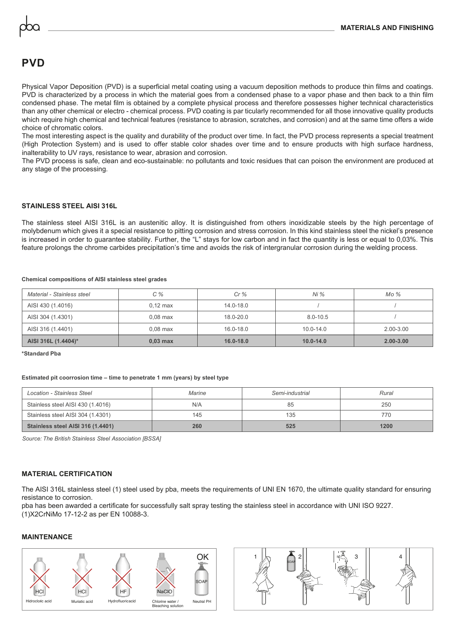# **PVD**

Physical Vapor Deposition (PVD) is a superficial metal coating using a vacuum deposition methods to produce thin films and coatings. PVD is characterized by a process in which the material goes from a condensed phase to a vapor phase and then back to a thin film condensed phase. The metal film is obtained by a complete physical process and therefore possesses higher technical characteristics than any other chemical or electro - chemical process. PVD coating is par ticularly recommended for all those innovative quality products which require high chemical and technical features (resistance to abrasion, scratches, and corrosion) and at the same time offers a wide choice of chromatic colors.

The most interesting aspect is the quality and durability of the product over time. In fact, the PVD process represents a special treatment (High Protection System) and is used to offer stable color shades over time and to ensure products with high surface hardness, inalterability to UV rays, resistance to wear, abrasion and corrosion.

The PVD process is safe, clean and eco-sustainable: no pollutants and toxic residues that can poison the environment are produced at any stage of the processing.

### **STAINLESS STEEL AISI 316L**

The stainless steel AISI 316L is an austenitic alloy. It is distinguished from others inoxidizable steels by the high percentage of molybdenum which gives it a special resistance to pitting corrosion and stress corrosion. In this kind stainless steel the nickel's presence is increased in order to guarantee stability. Further, the "L" stays for low carbon and in fact the quantity is less or equal to 0,03%. This feature prolongs the chrome carbides precipitation's time and avoids the risk of intergranular corrosion during the welding process.

#### **Chemical compositions of AISI stainless steel grades**

| Material - Stainless steel | $C\%$              | Cr%           | $Ni\%$        | Mo%           |
|----------------------------|--------------------|---------------|---------------|---------------|
| AISI 430 (1.4016)          | $0.12 \text{ max}$ | $14.0 - 18.0$ |               |               |
| AISI 304 (1.4301)          | $0.08$ max         | 18.0-20.0     | $8.0 - 10.5$  |               |
| AISI 316 (1.4401)          | $0.08$ max         | 16.0-18.0     | $10.0 - 14.0$ | $2.00 - 3.00$ |
| AISI 316L (1.4404)*        | $0,03$ max         | $16.0 - 18.0$ | $10.0 - 14.0$ | $2.00 - 3.00$ |

**\*Standard Pba**

#### **Estimated pit coorrosion time – time to penetrate 1 mm (years) by steel type**

| Location - Stainless Steel        | Semi-industrial<br>Marine |     | Rural |  |
|-----------------------------------|---------------------------|-----|-------|--|
| Stainless steel AISI 430 (1.4016) | N/A                       | 85  | 250   |  |
| Stainless steel AISI 304 (1.4301) | 145                       | 135 | 770   |  |
| Stainless steel AISI 316 (1.4401) | 260                       | 525 | 1200  |  |

*Source: The British Stainless Steel Association [BSSA]*

### **MATERIAL CERTIFICATION**

The AISI 316L stainless steel (1) steel used by pba, meets the requirements of UNI EN 1670, the ultimate quality standard for ensuring resistance to corrosion.

pba has been awarded a certificate for successfully salt spray testing the stainless steel in accordance with UNI ISO 9227. (1)X2CrNiMo 17-12-2 as per EN 10088-3.

### **MAINTENANCE**